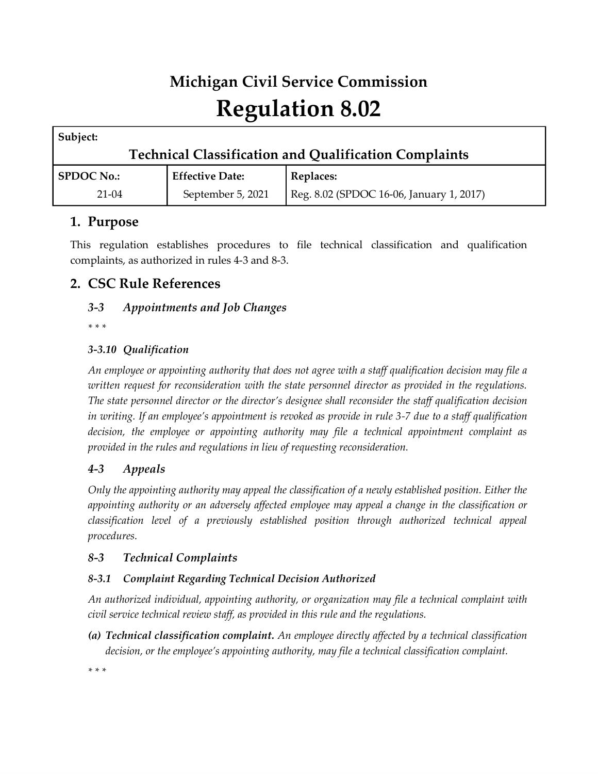# **Michigan Civil Service Commission Regulation 8.02**

| Subject:                                                     |                        |                                          |
|--------------------------------------------------------------|------------------------|------------------------------------------|
| <b>Technical Classification and Qualification Complaints</b> |                        |                                          |
| <b>SPDOC No.:</b>                                            | <b>Effective Date:</b> | Replaces:                                |
| $21-04$                                                      | September 5, 2021      | Reg. 8.02 (SPDOC 16-06, January 1, 2017) |

# **1. Purpose**

This regulation establishes procedures to file technical classification and qualification complaints, as authorized in rules 4-3 and 8-3.

# **2. CSC Rule References**

# *3-3 Appointments and Job Changes*

*\* \* \** 

## *3-3.10 Qualification*

*An employee or appointing authority that does not agree with a staff qualification decision may file a written request for reconsideration with the state personnel director as provided in the regulations. The state personnel director or the director's designee shall reconsider the staff qualification decision in writing. If an employee's appointment is revoked as provide in rule 3-7 due to a staff qualification decision, the employee or appointing authority may file a technical appointment complaint as provided in the rules and regulations in lieu of requesting reconsideration.*

# *4-3 Appeals*

*Only the appointing authority may appeal the classification of a newly established position. Either the appointing authority or an adversely affected employee may appeal a change in the classification or classification level of a previously established position through authorized technical appeal procedures.*

## *8-3 Technical Complaints*

## *8-3.1 Complaint Regarding Technical Decision Authorized*

*An authorized individual, appointing authority, or organization may file a technical complaint with civil service technical review staff, as provided in this rule and the regulations.*

*(a) Technical classification complaint. An employee directly affected by a technical classification decision, or the employee's appointing authority, may file a technical classification complaint.*

*\* \* \**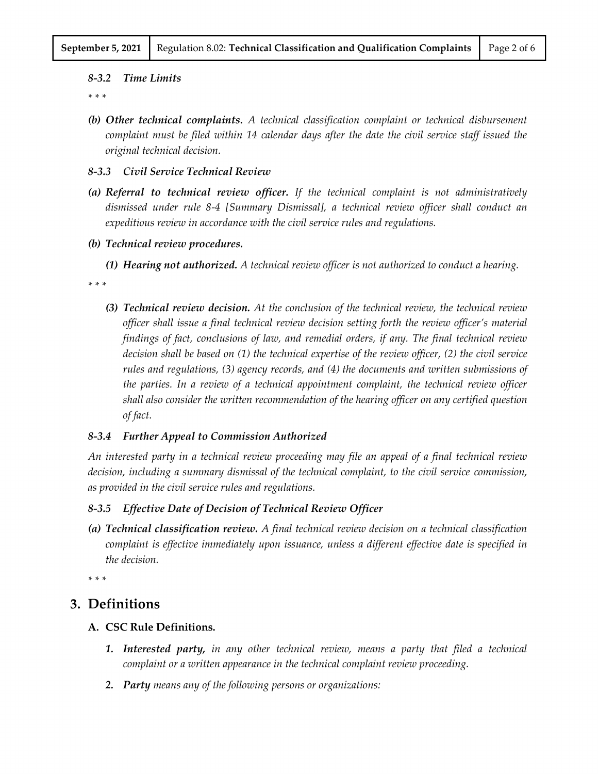#### *8-3.2 Time Limits*

*\* \* \** 

*(b) Other technical complaints. A technical classification complaint or technical disbursement complaint must be filed within 14 calendar days after the date the civil service staff issued the original technical decision.*

#### *8-3.3 Civil Service Technical Review*

- *(a) Referral to technical review officer. If the technical complaint is not administratively dismissed under rule 8-4 [Summary Dismissal], a technical review officer shall conduct an expeditious review in accordance with the civil service rules and regulations.*
- *(b) Technical review procedures.*
	- *(1) Hearing not authorized. A technical review officer is not authorized to conduct a hearing.*

*\* \* \** 

*(3) Technical review decision. At the conclusion of the technical review, the technical review officer shall issue a final technical review decision setting forth the review officer's material findings of fact, conclusions of law, and remedial orders, if any. The final technical review decision shall be based on (1) the technical expertise of the review officer, (2) the civil service rules and regulations, (3) agency records, and (4) the documents and written submissions of the parties. In a review of a technical appointment complaint, the technical review officer shall also consider the written recommendation of the hearing officer on any certified question of fact.*

#### *8-3.4 Further Appeal to Commission Authorized*

*An interested party in a technical review proceeding may file an appeal of a final technical review decision, including a summary dismissal of the technical complaint, to the civil service commission, as provided in the civil service rules and regulations.*

## *8-3.5 Effective Date of Decision of Technical Review Officer*

*(a) Technical classification review. A final technical review decision on a technical classification complaint is effective immediately upon issuance, unless a different effective date is specified in the decision.*

*\* \* \**

## **3. Definitions**

- **A. CSC Rule Definitions.**
	- *1. Interested party, in any other technical review, means a party that filed a technical complaint or a written appearance in the technical complaint review proceeding.*
	- *2. Party means any of the following persons or organizations:*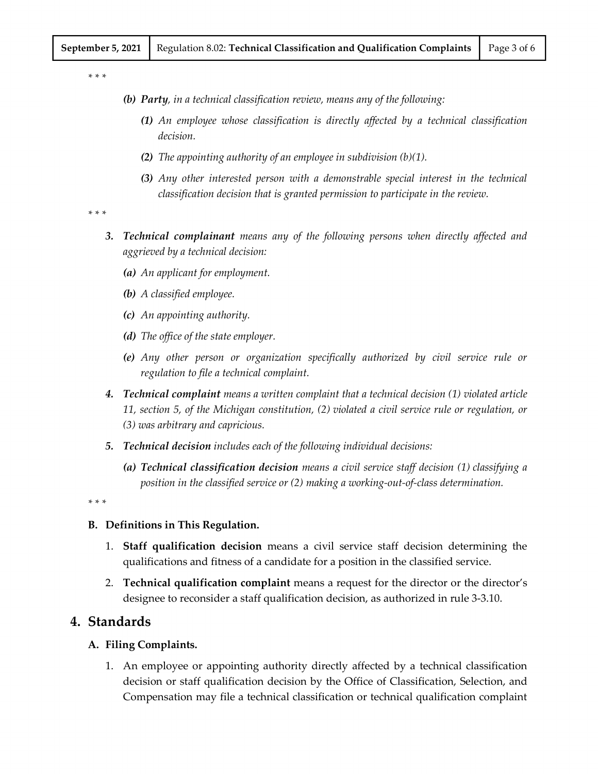*\* \* \**

*(b) Party, in a technical classification review, means any of the following:*

- *(1) An employee whose classification is directly affected by a technical classification decision.*
- *(2) The appointing authority of an employee in subdivision (b)(1).*
- *(3) Any other interested person with a demonstrable special interest in the technical classification decision that is granted permission to participate in the review.*

*\* \* \**

- *3. Technical complainant means any of the following persons when directly affected and aggrieved by a technical decision:*
	- *(a) An applicant for employment.*
	- *(b) A classified employee.*
	- *(c) An appointing authority.*
	- *(d) The office of the state employer.*
	- *(e) Any other person or organization specifically authorized by civil service rule or regulation to file a technical complaint.*
- *4. Technical complaint means a written complaint that a technical decision (1) violated article 11, section 5, of the Michigan constitution, (2) violated a civil service rule or regulation, or (3) was arbitrary and capricious.*
- *5. Technical decision includes each of the following individual decisions:*
	- *(a) Technical classification decision means a civil service staff decision (1) classifying a position in the classified service or (2) making a working-out-of-class determination.*

*\* \* \**

#### **B. Definitions in This Regulation.**

- 1. **Staff qualification decision** means a civil service staff decision determining the qualifications and fitness of a candidate for a position in the classified service.
- 2. **Technical qualification complaint** means a request for the director or the director's designee to reconsider a staff qualification decision, as authorized in rule 3-3.10.

## **4. Standards**

#### **A. Filing Complaints.**

1. An employee or appointing authority directly affected by a technical classification decision or staff qualification decision by the Office of Classification, Selection, and Compensation may file a technical classification or technical qualification complaint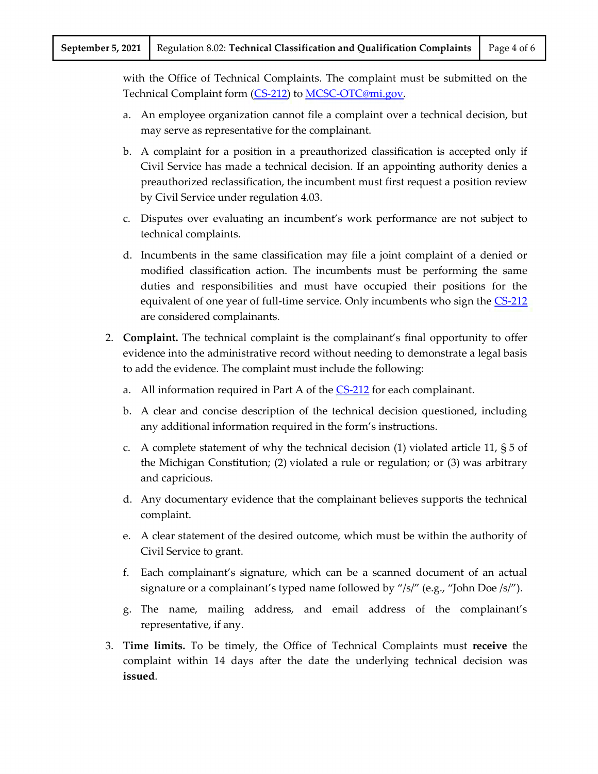with the Office of Technical Complaints. The complaint must be submitted on the Technical Complaint form [\(CS-212\)](http://www.michigan.gov/mdcs/1,1607,7-147-8243-22736--,00.html#CS212) t[o MCSC-OTC@mi.gov.](mailto:MCSC-OTC@mi.gov)

- a. An employee organization cannot file a complaint over a technical decision, but may serve as representative for the complainant.
- b. A complaint for a position in a preauthorized classification is accepted only if Civil Service has made a technical decision. If an appointing authority denies a preauthorized reclassification, the incumbent must first request a position review by Civil Service under regulation 4.03.
- c. Disputes over evaluating an incumbent's work performance are not subject to technical complaints.
- d. Incumbents in the same classification may file a joint complaint of a denied or modified classification action. The incumbents must be performing the same duties and responsibilities and must have occupied their positions for the equivalent of one year of full-time service. Only incumbents who sign the [CS-212](http://www.michigan.gov/mdcs/1,1607,7-147-8243-22736--,00.html#CS212) are considered complainants.
- 2. **Complaint.** The technical complaint is the complainant's final opportunity to offer evidence into the administrative record without needing to demonstrate a legal basis to add the evidence. The complaint must include the following:
	- a. All information required in Part A of the [CS-212](http://www.michigan.gov/mdcs/1,1607,7-147-8243-22736--,00.html#CS212) for each complainant.
	- b. A clear and concise description of the technical decision questioned, including any additional information required in the form's instructions.
	- c. A complete statement of why the technical decision (1) violated article 11, § 5 of the Michigan Constitution; (2) violated a rule or regulation; or (3) was arbitrary and capricious.
	- d. Any documentary evidence that the complainant believes supports the technical complaint.
	- e. A clear statement of the desired outcome, which must be within the authority of Civil Service to grant.
	- f. Each complainant's signature, which can be a scanned document of an actual signature or a complainant's typed name followed by "/s/" (e.g., "John Doe /s/").
	- g. The name, mailing address, and email address of the complainant's representative, if any.
- 3. **Time limits.** To be timely, the Office of Technical Complaints must **receive** the complaint within 14 days after the date the underlying technical decision was **issued**.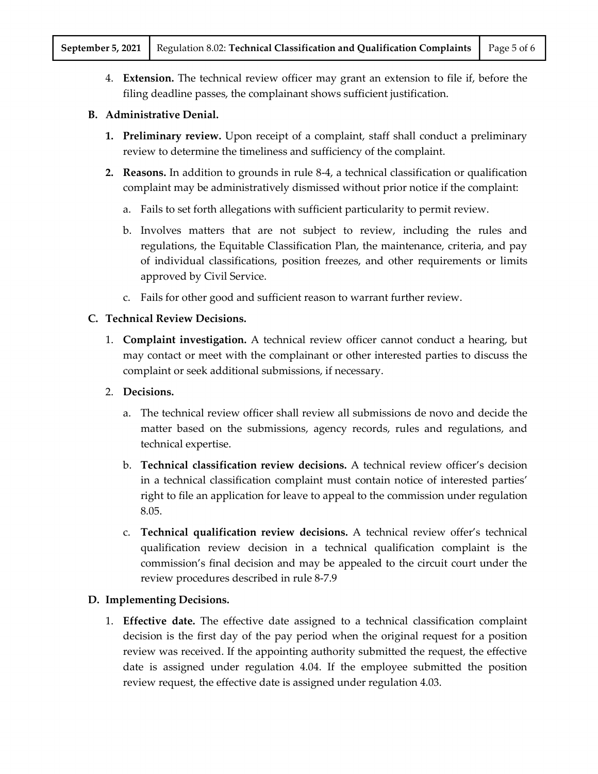4. **Extension.** The technical review officer may grant an extension to file if, before the filing deadline passes, the complainant shows sufficient justification.

## **B. Administrative Denial.**

- **1. Preliminary review.** Upon receipt of a complaint, staff shall conduct a preliminary review to determine the timeliness and sufficiency of the complaint.
- **2. Reasons.** In addition to grounds in rule 8-4, a technical classification or qualification complaint may be administratively dismissed without prior notice if the complaint:
	- a. Fails to set forth allegations with sufficient particularity to permit review.
	- b. Involves matters that are not subject to review, including the rules and regulations, the Equitable Classification Plan, the maintenance, criteria, and pay of individual classifications, position freezes, and other requirements or limits approved by Civil Service.
	- c. Fails for other good and sufficient reason to warrant further review.

#### **C. Technical Review Decisions.**

- 1. **Complaint investigation.** A technical review officer cannot conduct a hearing, but may contact or meet with the complainant or other interested parties to discuss the complaint or seek additional submissions, if necessary.
- 2. **Decisions.**
	- a. The technical review officer shall review all submissions de novo and decide the matter based on the submissions, agency records, rules and regulations, and technical expertise.
	- b. **Technical classification review decisions.** A technical review officer's decision in a technical classification complaint must contain notice of interested parties' right to file an application for leave to appeal to the commission under regulation 8.05.
	- c. **Technical qualification review decisions.** A technical review offer's technical qualification review decision in a technical qualification complaint is the commission's final decision and may be appealed to the circuit court under the review procedures described in rule 8-7.9

## **D. Implementing Decisions.**

1. **Effective date.** The effective date assigned to a technical classification complaint decision is the first day of the pay period when the original request for a position review was received. If the appointing authority submitted the request, the effective date is assigned under regulation 4.04. If the employee submitted the position review request, the effective date is assigned under regulation 4.03.